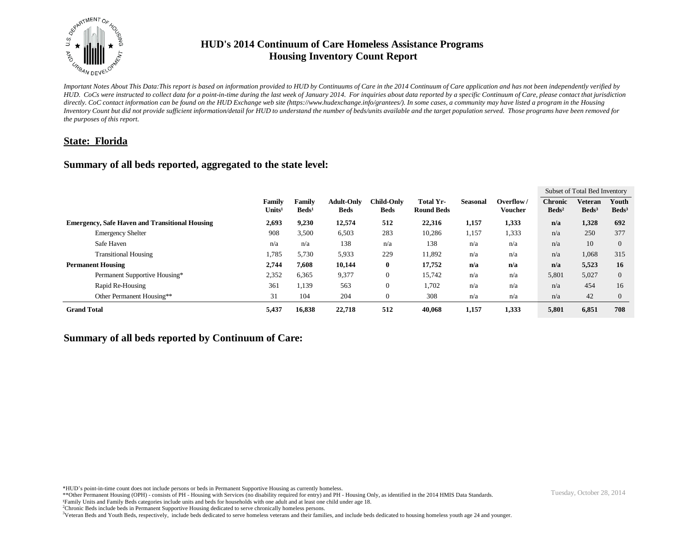

*Important Notes About This Data:This report is based on information provided to HUD by Continuums of Care in the 2014 Continuum of Care application and has not been independently verified by HUD. CoCs were instructed to collect data for a point-in-time during the last week of January 2014. For inquiries about data reported by a specific Continuum of Care, please contact that jurisdiction directly. CoC contact information can be found on the HUD Exchange web site (https://www.hudexchange.info/grantees/). In some cases, a community may have listed a program in the Housing Inventory Count but did not provide sufficient information/detail for HUD to understand the number of beds/units available and the target population served. Those programs have been removed for the purposes of this report.*

# **State: Florida**

# **Summary of all beds reported, aggregated to the state level:**

|                                                       |                              |                                  |                                  |                                  |                                |                 |                             |                                   | Subset of Total Bed Inventory |                            |
|-------------------------------------------------------|------------------------------|----------------------------------|----------------------------------|----------------------------------|--------------------------------|-----------------|-----------------------------|-----------------------------------|-------------------------------|----------------------------|
|                                                       | Family<br>Units <sup>1</sup> | <b>Family</b><br>$\text{Beds}^1$ | <b>Adult-Only</b><br><b>Beds</b> | <b>Child-Only</b><br><b>Beds</b> | Total Yr-<br><b>Round Beds</b> | <b>Seasonal</b> | Overflow/<br><b>Voucher</b> | <b>Chronic</b><br>$\text{Beds}^2$ | Veteran<br>$\text{Beds}^3$    | Youth<br>Beds <sup>3</sup> |
| <b>Emergency, Safe Haven and Transitional Housing</b> | 2,693                        | 9,230                            | 12,574                           | 512                              | 22,316                         | 1,157           | 1,333                       | n/a                               | 1,328                         | 692                        |
| <b>Emergency Shelter</b>                              | 908                          | 3,500                            | 6,503                            | 283                              | 10,286                         | 1,157           | 1,333                       | n/a                               | 250                           | 377                        |
| Safe Haven                                            | n/a                          | n/a                              | 138                              | n/a                              | 138                            | n/a             | n/a                         | n/a                               | 10                            | $\mathbf{0}$               |
| <b>Transitional Housing</b>                           | 1,785                        | 5,730                            | 5,933                            | 229                              | 11,892                         | n/a             | n/a                         | n/a                               | 1,068                         | 315                        |
| <b>Permanent Housing</b>                              | 2,744                        | 7,608                            | 10,144                           | $\bf{0}$                         | 17,752                         | n/a             | n/a                         | n/a                               | 5,523                         | 16                         |
| Permanent Supportive Housing*                         | 2,352                        | 6,365                            | 9,377                            | $\mathbf{0}$                     | 15,742                         | n/a             | n/a                         | 5,801                             | 5,027                         | $\Omega$                   |
| Rapid Re-Housing                                      | 361                          | 1,139                            | 563                              | $\mathbf{0}$                     | 1,702                          | n/a             | n/a                         | n/a                               | 454                           | 16                         |
| Other Permanent Housing**                             | 31                           | 104                              | 204                              | $\mathbf{0}$                     | 308                            | n/a             | n/a                         | n/a                               | 42                            | $\theta$                   |
| <b>Grand Total</b>                                    | 5,437                        | 16,838                           | 22,718                           | 512                              | 40,068                         | 1,157           | 1,333                       | 5,801                             | 6,851                         | 708                        |

# **Summary of all beds reported by Continuum of Care:**

<sup>\*</sup>HUD's point-in-time count does not include persons or beds in Permanent Supportive Housing as currently homeless.<br>\*\*Other Permanent Housing (OPH) - consists of PH - Housing with Services (no disability required for entry)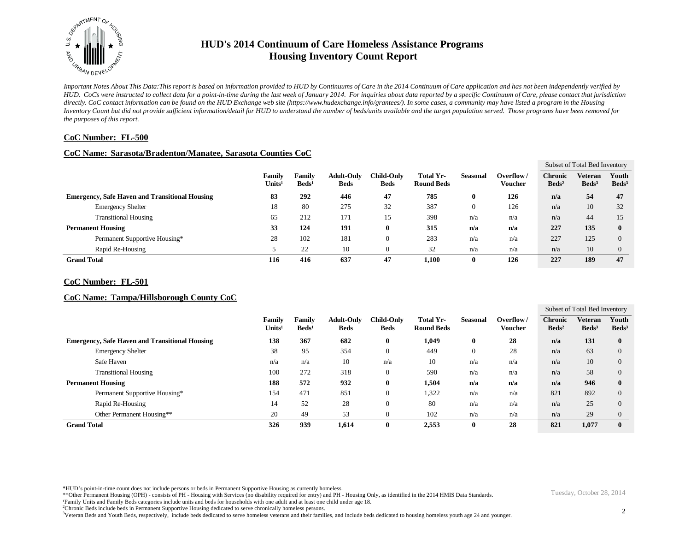

*Important Notes About This Data:This report is based on information provided to HUD by Continuums of Care in the 2014 Continuum of Care application and has not been independently verified by HUD. CoCs were instructed to collect data for a point-in-time during the last week of January 2014. For inquiries about data reported by a specific Continuum of Care, please contact that jurisdiction*  directly. CoC contact information can be found on the HUD Exchange web site (https://www.hudexchange.info/grantees/). In some cases, a community may have listed a program in the Housing *Inventory Count but did not provide sufficient information/detail for HUD to understand the number of beds/units available and the target population served. Those programs have been removed for the purposes of this report.*

### **CoC Number: FL-500**

#### **CoC Name: Sarasota/Bradenton/Manatee, Sarasota Counties CoC**

|                                                       |                              |                                  |                                  |                                  |                                |                 |                      |                                     | Subset of Total Bed Inventory |                          |
|-------------------------------------------------------|------------------------------|----------------------------------|----------------------------------|----------------------------------|--------------------------------|-----------------|----------------------|-------------------------------------|-------------------------------|--------------------------|
|                                                       | Family<br>Units <sup>1</sup> | <b>Family</b><br>$\text{Beds}^1$ | <b>Adult-Only</b><br><b>Beds</b> | <b>Child-Only</b><br><b>Beds</b> | Total Yr-<br><b>Round Beds</b> | <b>Seasonal</b> | Overflow/<br>Voucher | <b>Chronic</b><br>Beds <sup>2</sup> | Veteran<br>Beds <sup>3</sup>  | Youth<br>$\text{Beds}^3$ |
| <b>Emergency, Safe Haven and Transitional Housing</b> | 83                           | 292                              | 446                              | 47                               | 785                            | 0               | 126                  | n/a                                 | 54                            | 47                       |
| <b>Emergency Shelter</b>                              | 18                           | 80                               | 275                              | 32                               | 387                            | 0               | 126                  | n/a                                 | 10                            | 32                       |
| <b>Transitional Housing</b>                           | 65                           | 212                              | 171                              | 15                               | 398                            | n/a             | n/a                  | n/a                                 | 44                            | 15                       |
| <b>Permanent Housing</b>                              | 33                           | 124                              | 191                              | Ð                                | 315                            | n/a             | n/a                  | 227                                 | 135                           | $\mathbf{0}$             |
| Permanent Supportive Housing*                         | 28                           | 102                              | 181                              |                                  | 283                            | n/a             | n/a                  | 227                                 | 125                           | $\Omega$                 |
| Rapid Re-Housing                                      |                              | 22                               | 10                               |                                  | 32                             | n/a             | n/a                  | n/a                                 | 10                            | $\Omega$                 |
| <b>Grand Total</b>                                    | 116                          | 416                              | 637                              | 47                               | 1,100                          | 0               | 126                  | 227                                 | 189                           | 47                       |

#### **CoC Number: FL-501**

#### **CoC Name: Tampa/Hillsborough County CoC**

|                                                       |                              |                                  |                                  |                                  |                                       |                 |                      |                                     | Subset of Total Bed Inventory     |                          |
|-------------------------------------------------------|------------------------------|----------------------------------|----------------------------------|----------------------------------|---------------------------------------|-----------------|----------------------|-------------------------------------|-----------------------------------|--------------------------|
|                                                       | Family<br>Units <sup>1</sup> | <b>Family</b><br>$\text{Beds}^1$ | <b>Adult-Only</b><br><b>Beds</b> | <b>Child-Only</b><br><b>Beds</b> | <b>Total Yr-</b><br><b>Round Beds</b> | <b>Seasonal</b> | Overflow/<br>Voucher | <b>Chronic</b><br>Beds <sup>2</sup> | <b>Veteran</b><br>$\text{Beds}^3$ | Youth<br>$\text{Beds}^3$ |
| <b>Emergency, Safe Haven and Transitional Housing</b> | 138                          | 367                              | 682                              | $\bf{0}$                         | 1,049                                 | $\bf{0}$        | 28                   | n/a                                 | 131                               | $\bf{0}$                 |
| <b>Emergency Shelter</b>                              | 38                           | 95                               | 354                              | $\mathbf{0}$                     | 449                                   | $\overline{0}$  | 28                   | n/a                                 | 63                                |                          |
| Safe Haven                                            | n/a                          | n/a                              | 10                               | n/a                              | 10                                    | n/a             | n/a                  | n/a                                 | 10                                |                          |
| <b>Transitional Housing</b>                           | 100                          | 272                              | 318                              | $\boldsymbol{0}$                 | 590                                   | n/a             | n/a                  | n/a                                 | 58                                |                          |
| <b>Permanent Housing</b>                              | 188                          | 572                              | 932                              | $\bf{0}$                         | 1,504                                 | n/a             | n/a                  | n/a                                 | 946                               | $\mathbf{0}$             |
| Permanent Supportive Housing*                         | 154                          | 471                              | 851                              | $\boldsymbol{0}$                 | 1,322                                 | n/a             | n/a                  | 821                                 | 892                               |                          |
| Rapid Re-Housing                                      | 14                           | 52                               | 28                               | $\overline{0}$                   | 80                                    | n/a             | n/a                  | n/a                                 | 25                                |                          |
| Other Permanent Housing**                             | 20                           | 49                               | 53                               | $\overline{0}$                   | 102                                   | n/a             | n/a                  | n/a                                 | 29                                |                          |
| <b>Grand Total</b>                                    | 326                          | 939                              | 1.614                            | $\bf{0}$                         | 2,553                                 | $\mathbf{0}$    | 28                   | 821                                 | 1,077                             | $\mathbf{0}$             |

\*HUD's point-in-time count does not include persons or beds in Permanent Supportive Housing as currently homeless.

\*\*Other Permanent Housing (OPH) - consists of PH - Housing with Services (no disability required for entry) and PH - Housing Only, as identified in the 2014 HMIS Data Standards.

¹Family Units and Family Beds categories include units and beds for households with one adult and at least one child under age 18.

<sup>2</sup>Chronic Beds include beds in Permanent Supportive Housing dedicated to serve chronically homeless persons.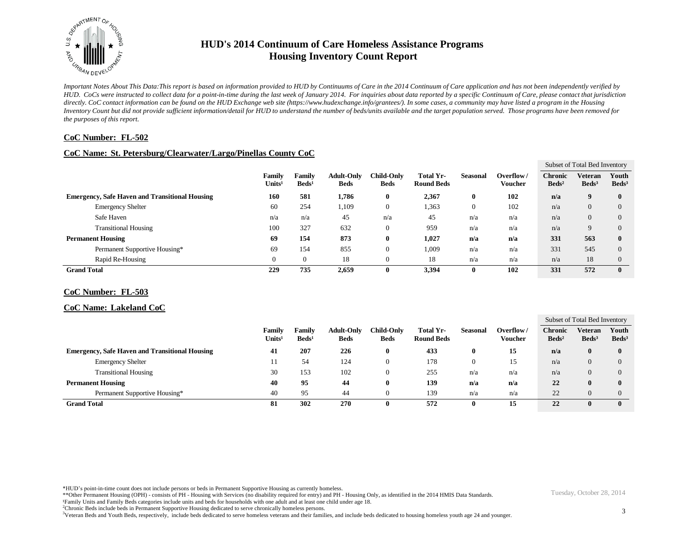

*Important Notes About This Data:This report is based on information provided to HUD by Continuums of Care in the 2014 Continuum of Care application and has not been independently verified by HUD. CoCs were instructed to collect data for a point-in-time during the last week of January 2014. For inquiries about data reported by a specific Continuum of Care, please contact that jurisdiction*  directly. CoC contact information can be found on the HUD Exchange web site (https://www.hudexchange.info/grantees/). In some cases, a community may have listed a program in the Housing *Inventory Count but did not provide sufficient information/detail for HUD to understand the number of beds/units available and the target population served. Those programs have been removed for the purposes of this report.*

### **CoC Number: FL-502**

### **CoC Name: St. Petersburg/Clearwater/Largo/Pinellas County CoC**

|                    |                                                       |                              |                           |                                  |                           |                                |                 |                      |                                     | Subset of Total Bed Inventory |                            |
|--------------------|-------------------------------------------------------|------------------------------|---------------------------|----------------------------------|---------------------------|--------------------------------|-----------------|----------------------|-------------------------------------|-------------------------------|----------------------------|
|                    |                                                       | Family<br>Units <sup>1</sup> | Family<br>$\text{Beds}^1$ | <b>Adult-Only</b><br><b>Beds</b> | Child-Only<br><b>Beds</b> | Total Yr-<br><b>Round Beds</b> | <b>Seasonal</b> | Overflow/<br>Voucher | <b>Chronic</b><br>Beds <sup>2</sup> | Veteran<br>$\text{Beds}^3$    | Youth<br>Beds <sup>3</sup> |
|                    | <b>Emergency, Safe Haven and Transitional Housing</b> | 160                          | 581                       | 1,786                            | $\bf{0}$                  | 2,367                          | $\bf{0}$        | 102                  | n/a                                 | 9                             | $\mathbf{0}$               |
|                    | <b>Emergency Shelter</b>                              | 60                           | 254                       | 1,109                            | 0                         | 1,363                          |                 | 102                  | n/a                                 | $\Omega$                      | $\theta$                   |
|                    | Safe Haven                                            | n/a                          | n/a                       | 45                               | n/a                       | 45                             | n/a             | n/a                  | n/a                                 | $\overline{0}$                | $\theta$                   |
|                    | <b>Transitional Housing</b>                           | 100                          | 327                       | 632                              | 0                         | 959                            | n/a             | n/a                  | n/a                                 | $\mathbf Q$                   | $\theta$                   |
|                    | <b>Permanent Housing</b>                              | 69                           | 154                       | 873                              | 0                         | 1,027                          | n/a             | n/a                  | 331                                 | 563                           | 0                          |
|                    | Permanent Supportive Housing*                         | 69                           | 154                       | 855                              | 0                         | 1,009                          | n/a             | n/a                  | 331                                 | 545                           | $\Omega$                   |
|                    | Rapid Re-Housing                                      |                              |                           | 18                               | 0                         | 18                             | n/a             | n/a                  | n/a                                 | 18                            | $\theta$                   |
| <b>Grand Total</b> |                                                       | 229                          | 735                       | 2,659                            | 0                         | 3,394                          |                 | 102                  | 331                                 | 572                           | $\bf{0}$                   |

#### **CoC Number: FL-503**

#### **CoC Name: Lakeland CoC**

|                                                       |                              |                                  |                                  |                                  |                                |                 |                      |                                   | Subset of Total Bed Inventory     |                          |
|-------------------------------------------------------|------------------------------|----------------------------------|----------------------------------|----------------------------------|--------------------------------|-----------------|----------------------|-----------------------------------|-----------------------------------|--------------------------|
|                                                       | Family<br>Units <sup>1</sup> | <b>Family</b><br>$\text{Beds}^1$ | <b>Adult-Only</b><br><b>Beds</b> | <b>Child-Only</b><br><b>Beds</b> | Total Yr-<br><b>Round Beds</b> | <b>Seasonal</b> | Overflow/<br>Voucher | <b>Chronic</b><br>$\text{Beds}^2$ | <b>Veteran</b><br>$\text{Beds}^3$ | Youth<br>$\text{Beds}^3$ |
| <b>Emergency, Safe Haven and Transitional Housing</b> | 41                           | 207                              | 226                              | 0                                | 433                            |                 | 15                   | n/a                               |                                   | $\mathbf{0}$             |
| <b>Emergency Shelter</b>                              | 11                           | 54                               | 124                              | υ                                | 178                            |                 | 15                   | n/a                               |                                   | $\Omega$                 |
| <b>Transitional Housing</b>                           | 30                           | 153                              | 102                              | υ                                | 255                            | n/a             | n/a                  | n/a                               |                                   | $\Omega$                 |
| <b>Permanent Housing</b>                              | 40                           | 95                               | 44                               | $\bf{0}$                         | 139                            | n/a             | n/a                  | 22                                |                                   | $\mathbf{0}$             |
| Permanent Supportive Housing*                         | 40                           | 95                               | 44                               | υ                                | 139                            | n/a             | n/a                  | 22                                |                                   | $\theta$                 |
| <b>Grand Total</b>                                    | 81                           | 302                              | 270                              | $\bf{0}$                         | 572                            |                 | 15                   | 22                                |                                   | $\mathbf{0}$             |

\*HUD's point-in-time count does not include persons or beds in Permanent Supportive Housing as currently homeless.

\*\*Other Permanent Housing (OPH) - consists of PH - Housing with Services (no disability required for entry) and PH - Housing Only, as identified in the 2014 HMIS Data Standards.

¹Family Units and Family Beds categories include units and beds for households with one adult and at least one child under age 18.

<sup>2</sup>Chronic Beds include beds in Permanent Supportive Housing dedicated to serve chronically homeless persons.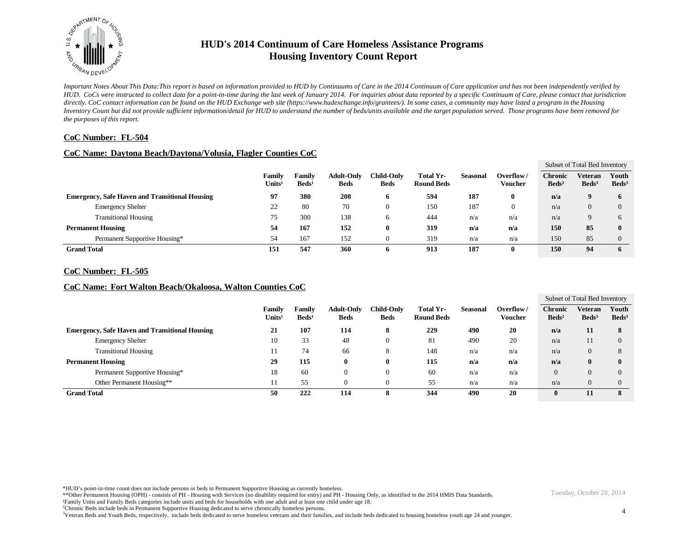

*Important Notes About This Data:This report is based on information provided to HUD by Continuums of Care in the 2014 Continuum of Care application and has not been independently verified by HUD. CoCs were instructed to collect data for a point-in-time during the last week of January 2014. For inquiries about data reported by a specific Continuum of Care, please contact that jurisdiction*  directly. CoC contact information can be found on the HUD Exchange web site (https://www.hudexchange.info/grantees/). In some cases, a community may have listed a program in the Housing *Inventory Count but did not provide sufficient information/detail for HUD to understand the number of beds/units available and the target population served. Those programs have been removed for the purposes of this report.*

### **CoC Number: FL-504**

#### **CoC Name: Daytona Beach/Daytona/Volusia, Flagler Counties CoC**

|                    |                                                       |                              |                                  |                                  |                           |                                |                 |                      |                                   | Subset of Total Bed Inventory     |                            |
|--------------------|-------------------------------------------------------|------------------------------|----------------------------------|----------------------------------|---------------------------|--------------------------------|-----------------|----------------------|-----------------------------------|-----------------------------------|----------------------------|
|                    |                                                       | Family<br>Units <sup>1</sup> | <b>Family</b><br>$\text{Beds}^1$ | <b>Adult-Only</b><br><b>Beds</b> | Child-Onlv<br><b>Beds</b> | Total Yr-<br><b>Round Beds</b> | <b>Seasonal</b> | Overflow/<br>Voucher | <b>Chronic</b><br>$\text{Beds}^2$ | <b>Veteran</b><br>$\text{Beds}^3$ | Youth<br>Beds <sup>3</sup> |
|                    | <b>Emergency, Safe Haven and Transitional Housing</b> | 97                           | 380                              | 208                              | o                         | 594                            | 187             |                      | n/a                               |                                   | 6                          |
|                    | <b>Emergency Shelter</b>                              | 22                           | 80                               | 70                               | 0                         | 150                            | 187             | 0                    | n/a                               |                                   | $\Omega$                   |
|                    | <b>Transitional Housing</b>                           | 75                           | 300                              | 138                              | O                         | 444                            | n/a             | n/a                  | n/a                               |                                   | h                          |
|                    | <b>Permanent Housing</b>                              | 54                           | 167                              | 152                              | 0                         | 319                            | n/a             | n/a                  | 150                               | 85                                | $\mathbf{0}$               |
|                    | Permanent Supportive Housing*                         | 54                           | 167                              | 152                              | O                         | 319                            | n/a             | n/a                  | 150                               | 85                                | $\theta$                   |
| <b>Grand Total</b> |                                                       | 151                          | 547                              | 360                              | o                         | 913                            | 187             |                      | 150                               | 94                                |                            |

#### **CoC Number: FL-505**

### **CoC Name: Fort Walton Beach/Okaloosa, Walton Counties CoC**

|                                                       |                              |                           |                                  |                           |                                |                 |                             |                                     | Subset of Total Bed Inventory       |                          |
|-------------------------------------------------------|------------------------------|---------------------------|----------------------------------|---------------------------|--------------------------------|-----------------|-----------------------------|-------------------------------------|-------------------------------------|--------------------------|
|                                                       | Family<br>Units <sup>1</sup> | Family<br>$\text{Beds}^1$ | <b>Adult-Only</b><br><b>Beds</b> | Child-Onlv<br><b>Beds</b> | Total Yr-<br><b>Round Beds</b> | <b>Seasonal</b> | Overflow/<br><b>Voucher</b> | <b>Chronic</b><br>Beds <sup>2</sup> | <b>Veteran</b><br>Beds <sup>3</sup> | Youth<br>$\text{Beds}^3$ |
| <b>Emergency, Safe Haven and Transitional Housing</b> | 21                           | 107                       | 114                              | 8                         | 229                            | 490             | 20                          | n/a                                 | 11                                  | 8                        |
| <b>Emergency Shelter</b>                              | 10                           | 33                        | 48                               | $\theta$                  | 81                             | 490             | 20                          | n/a                                 | 11                                  | $\Omega$                 |
| <b>Transitional Housing</b>                           |                              | 74                        | 66                               | 8                         | 148                            | n/a             | n/a                         | n/a                                 | 0                                   |                          |
| <b>Permanent Housing</b>                              | 29                           | 115                       | 0                                | $\bf{0}$                  | 115                            | n/a             | n/a                         | n/a                                 | o                                   | $\mathbf 0$              |
| Permanent Supportive Housing*                         | 18                           | 60                        | $\theta$                         | $\left($                  | 60                             | n/a             | n/a                         | $\theta$                            | 0                                   |                          |
| Other Permanent Housing**                             | -14                          | 55                        | $\Omega$                         | -0                        | 55                             | n/a             | n/a                         | n/a                                 | 0                                   |                          |
| <b>Grand Total</b>                                    | 50                           | 222                       | 114                              | $\Omega$<br>ð             | 344                            | 490             | 20                          | $\bf{0}$                            |                                     | 8                        |

\*HUD's point-in-time count does not include persons or beds in Permanent Supportive Housing as currently homeless.

\*\*Other Permanent Housing (OPH) - consists of PH - Housing with Services (no disability required for entry) and PH - Housing Only, as identified in the 2014 HMIS Data Standards.

¹Family Units and Family Beds categories include units and beds for households with one adult and at least one child under age 18.

<sup>2</sup>Chronic Beds include beds in Permanent Supportive Housing dedicated to serve chronically homeless persons.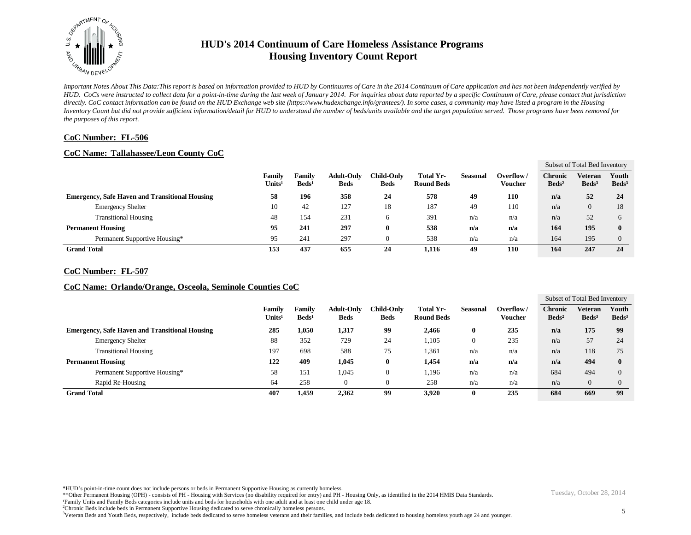

*Important Notes About This Data:This report is based on information provided to HUD by Continuums of Care in the 2014 Continuum of Care application and has not been independently verified by HUD. CoCs were instructed to collect data for a point-in-time during the last week of January 2014. For inquiries about data reported by a specific Continuum of Care, please contact that jurisdiction*  directly. CoC contact information can be found on the HUD Exchange web site (https://www.hudexchange.info/grantees/). In some cases, a community may have listed a program in the Housing *Inventory Count but did not provide sufficient information/detail for HUD to understand the number of beds/units available and the target population served. Those programs have been removed for the purposes of this report.*

### **CoC Number: FL-506**

## **CoC Name: Tallahassee/Leon County CoC**

|                                                       |                              |                           |                                  |                                  |                                |                 |                      |                                     | Subset of Total Bed Inventory |                          |
|-------------------------------------------------------|------------------------------|---------------------------|----------------------------------|----------------------------------|--------------------------------|-----------------|----------------------|-------------------------------------|-------------------------------|--------------------------|
|                                                       | Family<br>Units <sup>1</sup> | Familv<br>$\text{Beds}^1$ | <b>Adult-Only</b><br><b>Beds</b> | <b>Child-Only</b><br><b>Beds</b> | Total Yr-<br><b>Round Beds</b> | <b>Seasonal</b> | Overflow/<br>Voucher | <b>Chronic</b><br>Beds <sup>2</sup> | Veteran<br>Beds <sup>3</sup>  | Youth<br>$\text{Beds}^3$ |
| <b>Emergency, Safe Haven and Transitional Housing</b> | 58                           | 196                       | 358                              | 24                               | 578                            | 49              | 110                  | n/a                                 | 52                            | 24                       |
| <b>Emergency Shelter</b>                              | 10                           | 42                        | 127                              | 18                               | 187                            | 49              | 110                  | n/a                                 | 0                             | 18                       |
| <b>Transitional Housing</b>                           | 48                           | 154                       | 231                              | o                                | 391                            | n/a             | n/a                  | n/a                                 | 52                            | h                        |
| <b>Permanent Housing</b>                              | 95                           | 241                       | 297                              | 0                                | 538                            | n/a             | n/a                  | 164                                 | 195                           | $\mathbf{0}$             |
| Permanent Supportive Housing*                         | 95                           | 241                       | 297                              |                                  | 538                            | n/a             | n/a                  | 164                                 | 195                           |                          |
| <b>Grand Total</b>                                    | 153                          | 437                       | 655                              | 24                               | 1,116                          | 49              | 110                  | 164                                 | 247                           | 24                       |

#### **CoC Number: FL-507**

### **CoC Name: Orlando/Orange, Osceola, Seminole Counties CoC**

|                                                       |                              |                           |                                  |                           |                                |                 |                              |                                   | Subset of Total Bed Inventory |                          |
|-------------------------------------------------------|------------------------------|---------------------------|----------------------------------|---------------------------|--------------------------------|-----------------|------------------------------|-----------------------------------|-------------------------------|--------------------------|
|                                                       | Family<br>Units <sup>1</sup> | Family<br>$\text{Beds}^1$ | <b>Adult-Only</b><br><b>Beds</b> | Child-Onlv<br><b>Beds</b> | Total Yr-<br><b>Round Beds</b> | <b>Seasonal</b> | Overflow /<br><b>Voucher</b> | <b>Chronic</b><br>$\text{Beds}^2$ | Veteran<br>$\text{Beds}^3$    | Youth<br>$\text{Beds}^3$ |
| <b>Emergency, Safe Haven and Transitional Housing</b> | 285                          | 1,050                     | 1,317                            | 99                        | 2.466                          | 0               | 235                          | n/a                               | 175                           | 99                       |
| <b>Emergency Shelter</b>                              | 88                           | 352                       | 729                              | 24                        | 1,105                          | $\mathbf{0}$    | 235                          | n/a                               | 57                            | 24                       |
| <b>Transitional Housing</b>                           | 197                          | 698                       | 588                              | 75                        | 1,361                          | n/a             | n/a                          | n/a                               | 118                           | 75                       |
| <b>Permanent Housing</b>                              | 122                          | 409                       | 1,045                            | $\bf{0}$                  | 1.454                          | n/a             | n/a                          | n/a                               | 494                           | $\mathbf{0}$             |
| Permanent Supportive Housing*                         | 58                           | 151                       | 1,045                            | $\boldsymbol{0}$          | 1,196                          | n/a             | n/a                          | 684                               | 494                           | 0                        |
| Rapid Re-Housing                                      | 64                           | 258                       | $\Omega$                         | $\theta$                  | 258                            | n/a             | n/a                          | n/a                               | 0                             |                          |
| <b>Grand Total</b>                                    | 407                          | 1,459                     | 2.362                            | 99                        | 3.920                          |                 | 235                          | 684                               | 669                           | 99                       |

\*HUD's point-in-time count does not include persons or beds in Permanent Supportive Housing as currently homeless.

\*\*Other Permanent Housing (OPH) - consists of PH - Housing with Services (no disability required for entry) and PH - Housing Only, as identified in the 2014 HMIS Data Standards.

¹Family Units and Family Beds categories include units and beds for households with one adult and at least one child under age 18.

<sup>2</sup>Chronic Beds include beds in Permanent Supportive Housing dedicated to serve chronically homeless persons.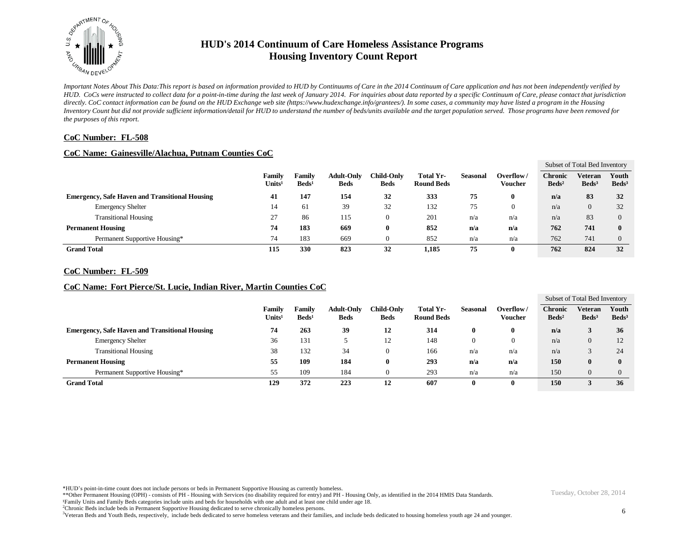

*Important Notes About This Data:This report is based on information provided to HUD by Continuums of Care in the 2014 Continuum of Care application and has not been independently verified by HUD. CoCs were instructed to collect data for a point-in-time during the last week of January 2014. For inquiries about data reported by a specific Continuum of Care, please contact that jurisdiction*  directly. CoC contact information can be found on the HUD Exchange web site (https://www.hudexchange.info/grantees/). In some cases, a community may have listed a program in the Housing *Inventory Count but did not provide sufficient information/detail for HUD to understand the number of beds/units available and the target population served. Those programs have been removed for the purposes of this report.*

### **CoC Number: FL-508**

#### **CoC Name: Gainesville/Alachua, Putnam Counties CoC**

|                          |                                                       |                              |                           |                                  |                                  |                                |                 |                      |                                   | Subset of Total Bed Inventory |                          |
|--------------------------|-------------------------------------------------------|------------------------------|---------------------------|----------------------------------|----------------------------------|--------------------------------|-----------------|----------------------|-----------------------------------|-------------------------------|--------------------------|
|                          |                                                       | Family<br>Units <sup>1</sup> | Family<br>$\text{Beds}^1$ | <b>Adult-Only</b><br><b>Beds</b> | <b>Child-Only</b><br><b>Beds</b> | Total Yr-<br><b>Round Beds</b> | <b>Seasonal</b> | Overflow/<br>Voucher | <b>Chronic</b><br>$\text{Beds}^2$ | Veteran<br>Beds <sup>3</sup>  | Youth<br>$\text{Beds}^3$ |
|                          | <b>Emergency, Safe Haven and Transitional Housing</b> | 41                           | 147                       | 154                              | 32                               | 333                            | 75              |                      | n/a                               | 83                            | 32                       |
|                          | <b>Emergency Shelter</b>                              | 14                           | 61                        | 39                               | 32                               | 132                            | 75              | $\mathbf{0}$         | n/a                               | 0                             | 32                       |
|                          | <b>Transitional Housing</b>                           | 27                           | 86                        | 115                              |                                  | 201                            | n/a             | n/a                  | n/a                               | 83                            | 0                        |
| <b>Permanent Housing</b> |                                                       | 74                           | 183                       | 669                              |                                  | 852                            | n/a             | n/a                  | 762                               | 741                           | $\mathbf{0}$             |
|                          | Permanent Supportive Housing*                         | 74                           | 183                       | 669                              |                                  | 852                            | n/a             | n/a                  | 762                               | 741                           |                          |
| <b>Grand Total</b>       |                                                       | 115                          | 330                       | 823                              | 32                               | 1,185                          | 75              |                      | 762                               | 824                           | 32                       |

#### **CoC Number: FL-509**

### **CoC Name: Fort Pierce/St. Lucie, Indian River, Martin Counties CoC**

|                                                       |                                     |                                  |                                  |                                  |                                |          |                      |                                     | Subset of Total Bed Inventory       |                          |
|-------------------------------------------------------|-------------------------------------|----------------------------------|----------------------------------|----------------------------------|--------------------------------|----------|----------------------|-------------------------------------|-------------------------------------|--------------------------|
|                                                       | <b>Family</b><br>Units <sup>1</sup> | <b>Family</b><br>$\text{Beds}^1$ | <b>Adult-Only</b><br><b>Beds</b> | <b>Child-Only</b><br><b>Beds</b> | Total Yr-<br><b>Round Beds</b> | Seasonal | Overflow/<br>Voucher | <b>Chronic</b><br>Beds <sup>2</sup> | <b>Veteran</b><br>Beds <sup>3</sup> | Youth<br>$\text{Beds}^3$ |
| <b>Emergency, Safe Haven and Transitional Housing</b> | 74                                  | 263                              | 39                               | 12                               | 314                            | 0        |                      | n/a                                 |                                     | 36                       |
| <b>Emergency Shelter</b>                              | 36                                  | 131                              |                                  | 12                               | 148                            | $\Omega$ |                      | n/a                                 |                                     |                          |
| <b>Transitional Housing</b>                           | 38                                  | 132                              | 34                               | $\theta$                         | 166                            | n/a      | n/a                  | n/a                                 |                                     | 24                       |
| <b>Permanent Housing</b>                              | 55                                  | 109                              | 184                              | U                                | 293                            | n/a      | n/a                  | 150                                 |                                     | 0                        |
| Permanent Supportive Housing*                         | 55                                  | 109                              | 184                              | 0                                | 293                            | n/a      | n/a                  | 150                                 |                                     |                          |
| <b>Grand Total</b>                                    | 129                                 | 372                              | 223                              | 12                               | 607                            | 0        |                      | 150                                 |                                     | 36                       |

\*HUD's point-in-time count does not include persons or beds in Permanent Supportive Housing as currently homeless.

\*\*Other Permanent Housing (OPH) - consists of PH - Housing with Services (no disability required for entry) and PH - Housing Only, as identified in the 2014 HMIS Data Standards.

¹Family Units and Family Beds categories include units and beds for households with one adult and at least one child under age 18.

<sup>2</sup>Chronic Beds include beds in Permanent Supportive Housing dedicated to serve chronically homeless persons.

<sup>3</sup>Veteran Beds and Youth Beds, respectively, include beds dedicated to serve homeless veterans and their families, and include beds dedicated to housing homeless youth age 24 and younger.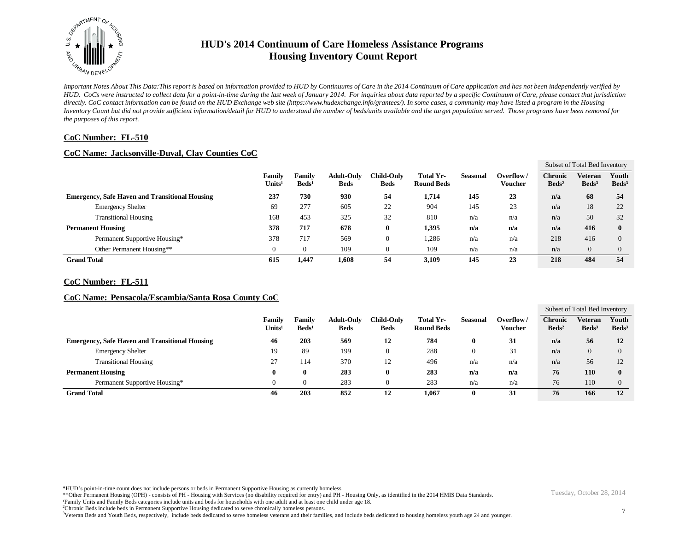

*Important Notes About This Data:This report is based on information provided to HUD by Continuums of Care in the 2014 Continuum of Care application and has not been independently verified by HUD. CoCs were instructed to collect data for a point-in-time during the last week of January 2014. For inquiries about data reported by a specific Continuum of Care, please contact that jurisdiction*  directly. CoC contact information can be found on the HUD Exchange web site (https://www.hudexchange.info/grantees/). In some cases, a community may have listed a program in the Housing *Inventory Count but did not provide sufficient information/detail for HUD to understand the number of beds/units available and the target population served. Those programs have been removed for the purposes of this report.*

### **CoC Number: FL-510**

### **CoC Name: Jacksonville-Duval, Clay Counties CoC**

|                                                       |                                     |                                  |                                  |                           |                                |                 |                             |                                   | Subset of Total Bed Inventory |                          |
|-------------------------------------------------------|-------------------------------------|----------------------------------|----------------------------------|---------------------------|--------------------------------|-----------------|-----------------------------|-----------------------------------|-------------------------------|--------------------------|
|                                                       | <b>Family</b><br>Units <sup>1</sup> | <b>Family</b><br>$\text{Beds}^1$ | <b>Adult-Only</b><br><b>Beds</b> | Child-Onlv<br><b>Beds</b> | Total Yr-<br><b>Round Beds</b> | <b>Seasonal</b> | Overflow/<br><b>Voucher</b> | <b>Chronic</b><br>$\text{Beds}^2$ | Veteran<br>Beds <sup>3</sup>  | Youth<br>$\text{Beds}^3$ |
| <b>Emergency, Safe Haven and Transitional Housing</b> | 237                                 | 730                              | 930                              | 54                        | 1,714                          | 145             | 23                          | n/a                               | 68                            | 54                       |
| <b>Emergency Shelter</b>                              | 69                                  | 277                              | 605                              | 22                        | 904                            | 145             | 23                          | n/a                               | 18                            | 22                       |
| <b>Transitional Housing</b>                           | 168                                 | 453                              | 325                              | 32                        | 810                            | n/a             | n/a                         | n/a                               | 50                            | 32                       |
| <b>Permanent Housing</b>                              | 378                                 | 717                              | 678                              | 0                         | 1,395                          | n/a             | n/a                         | n/a                               | 416                           |                          |
| Permanent Supportive Housing*                         | 378                                 | 717                              | 569                              | 0                         | 1,286                          | n/a             | n/a                         | 218                               | 416                           |                          |
| Other Permanent Housing**                             |                                     |                                  | 109                              | 0                         | 109                            | n/a             | n/a                         | n/a                               | $\overline{0}$                |                          |
| <b>Grand Total</b>                                    | 615                                 | 1,447                            | 1,608                            | 54                        | 3,109                          | 145             | 23                          | 218                               | 484                           | 54                       |

#### **CoC Number: FL-511**

#### **CoC Name: Pensacola/Escambia/Santa Rosa County CoC**

|                                                       |                         |                           |                                  |                                  |                                |                 |                      |                                     | Subset of Total Bed Inventory       |                            |
|-------------------------------------------------------|-------------------------|---------------------------|----------------------------------|----------------------------------|--------------------------------|-----------------|----------------------|-------------------------------------|-------------------------------------|----------------------------|
|                                                       | Family<br>$\bf Units^1$ | Family<br>$\text{Beds}^1$ | <b>Adult-Only</b><br><b>Beds</b> | <b>Child-Only</b><br><b>Beds</b> | Total Yr-<br><b>Round Beds</b> | <b>Seasonal</b> | Overflow/<br>Voucher | <b>Chronic</b><br>Beds <sup>2</sup> | <b>Veteran</b><br>Beds <sup>3</sup> | Youth<br>Beds <sup>3</sup> |
| <b>Emergency, Safe Haven and Transitional Housing</b> | 46                      | 203                       | 569                              | 12                               | 784                            | 0               | 31                   | n/a                                 | 56                                  | 12                         |
| <b>Emergency Shelter</b>                              | 19                      | 89                        | 199                              | O                                | 288                            |                 | 31                   | n/a                                 | $\theta$                            |                            |
| <b>Transitional Housing</b>                           | 27                      | 114                       | 370                              | 12                               | 496                            | n/a             | n/a                  | n/a                                 | 56                                  | 12                         |
| <b>Permanent Housing</b>                              |                         |                           | 283                              | 0                                | 283                            | n/a             | n/a                  | 76                                  | 110                                 | $\bf{0}$                   |
| Permanent Supportive Housing*                         |                         |                           | 283                              | U                                | 283                            | n/a             | n/a                  | 76                                  | 110                                 |                            |
| <b>Grand Total</b>                                    | 46                      | 203                       | 852                              | 12                               | 1,067                          |                 | 31                   | 76                                  | 166                                 | 12                         |

\*HUD's point-in-time count does not include persons or beds in Permanent Supportive Housing as currently homeless.

\*\*Other Permanent Housing (OPH) - consists of PH - Housing with Services (no disability required for entry) and PH - Housing Only, as identified in the 2014 HMIS Data Standards.

¹Family Units and Family Beds categories include units and beds for households with one adult and at least one child under age 18.

<sup>2</sup>Chronic Beds include beds in Permanent Supportive Housing dedicated to serve chronically homeless persons.

<sup>3</sup>Veteran Beds and Youth Beds, respectively, include beds dedicated to serve homeless veterans and their families, and include beds dedicated to housing homeless youth age 24 and younger.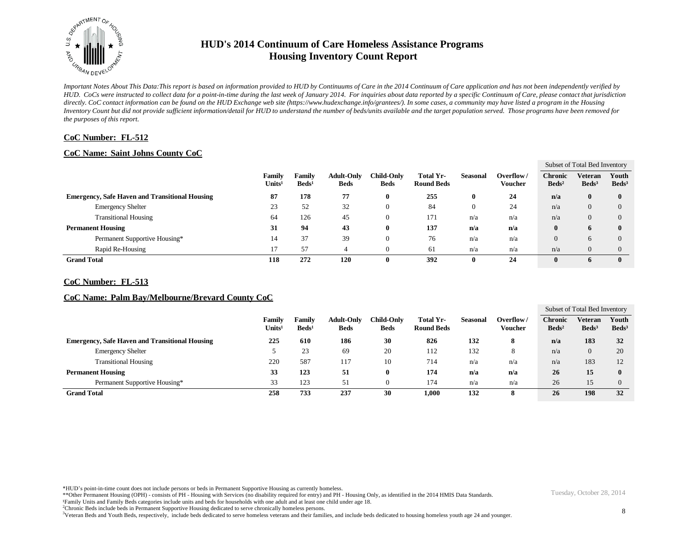

*Important Notes About This Data:This report is based on information provided to HUD by Continuums of Care in the 2014 Continuum of Care application and has not been independently verified by HUD. CoCs were instructed to collect data for a point-in-time during the last week of January 2014. For inquiries about data reported by a specific Continuum of Care, please contact that jurisdiction*  directly. CoC contact information can be found on the HUD Exchange web site (https://www.hudexchange.info/grantees/). In some cases, a community may have listed a program in the Housing *Inventory Count but did not provide sufficient information/detail for HUD to understand the number of beds/units available and the target population served. Those programs have been removed for the purposes of this report.*

### **CoC Number: FL-512**

## **CoC Name: Saint Johns County CoC**

|                                                       |                                     |                                  |                                  |                           |                                |          |                      |                                   | Subset of Total Bed Inventory |                          |
|-------------------------------------------------------|-------------------------------------|----------------------------------|----------------------------------|---------------------------|--------------------------------|----------|----------------------|-----------------------------------|-------------------------------|--------------------------|
|                                                       | <b>Family</b><br>Units <sup>1</sup> | <b>Family</b><br>$\text{Beds}^1$ | <b>Adult-Only</b><br><b>Beds</b> | Child-Only<br><b>Beds</b> | Total Yr-<br><b>Round Beds</b> | Seasonal | Overflow/<br>Voucher | <b>Chronic</b><br>$\text{Beds}^2$ | Veteran<br>Beds <sup>3</sup>  | Youth<br>$\text{Beds}^3$ |
| <b>Emergency, Safe Haven and Transitional Housing</b> | 87                                  | 178                              | 77                               | $\bf{0}$                  | 255                            | $\bf{0}$ | 24                   | n/a                               | $\bf{0}$                      | $\bf{0}$                 |
| <b>Emergency Shelter</b>                              | 23                                  | 52                               | 32                               | $\theta$                  | 84                             | $\Omega$ | 24                   | n/a                               | $\theta$                      | $\Omega$                 |
| <b>Transitional Housing</b>                           | 64                                  | 126                              | 45                               | $\theta$                  | 171                            | n/a      | n/a                  | n/a                               | $\theta$                      | $\left($                 |
| <b>Permanent Housing</b>                              | 31                                  | 94                               | 43                               | $\bf{0}$                  | 137                            | n/a      | n/a                  | $\bf{0}$                          | 6                             | $\mathbf{0}$             |
| Permanent Supportive Housing*                         | 14                                  | 37                               | 39                               | $\theta$                  | 76                             | n/a      | n/a                  | $\overline{0}$                    | 6                             | $\Omega$                 |
| Rapid Re-Housing                                      | 17                                  | 57                               |                                  | 0                         | 61                             | n/a      | n/a                  | n/a                               | $\overline{0}$                | $\Omega$                 |
| <b>Grand Total</b>                                    | 118                                 | 272                              | 120                              | $\bf{0}$                  | 392                            | 0        | 24                   | $\mathbf{0}$                      | 6                             | $\mathbf{0}$             |

#### **CoC Number: FL-513**

## **CoC Name: Palm Bay/Melbourne/Brevard County CoC**

|                                                       |                              |                                  |                                  |                    |                                |          |                      |                                     | Subset of Total Bed Inventory       |                            |
|-------------------------------------------------------|------------------------------|----------------------------------|----------------------------------|--------------------|--------------------------------|----------|----------------------|-------------------------------------|-------------------------------------|----------------------------|
|                                                       | Family<br>Units <sup>1</sup> | <b>Family</b><br>$\text{Beds}^1$ | <b>Adult-Only</b><br><b>Beds</b> | Child-Only<br>Beds | Total Yr-<br><b>Round Beds</b> | Seasonal | Overflow/<br>Voucher | <b>Chronic</b><br>Beds <sup>2</sup> | <b>Veteran</b><br>Beds <sup>3</sup> | Youth<br>Beds <sup>3</sup> |
| <b>Emergency, Safe Haven and Transitional Housing</b> | 225                          | 610                              | 186                              | 30                 | 826                            | 132      |                      | n/a                                 | 183                                 | 32                         |
| <b>Emergency Shelter</b>                              |                              | 23                               | 69                               | 20                 | 112                            | 132      | Õ.                   | n/a                                 | 0                                   | 20                         |
| <b>Transitional Housing</b>                           | 220                          | 587                              | 117                              | 10                 | 714                            | n/a      | n/a                  | n/a                                 | 183                                 | 12                         |
| <b>Permanent Housing</b>                              | 33                           | 123                              | 51                               | $\bf{0}$           | 174                            | n/a      | n/a                  | 26                                  | 15                                  |                            |
| Permanent Supportive Housing*                         | 33                           | 123                              | 51                               |                    | 174                            | n/a      | n/a                  | 26                                  | 15                                  |                            |
| <b>Grand Total</b>                                    | 258                          | 733                              | 237                              | 30                 | 1.000                          | 132      |                      | 26                                  | 198                                 | 32                         |

\*HUD's point-in-time count does not include persons or beds in Permanent Supportive Housing as currently homeless.

\*\*Other Permanent Housing (OPH) - consists of PH - Housing with Services (no disability required for entry) and PH - Housing Only, as identified in the 2014 HMIS Data Standards.

¹Family Units and Family Beds categories include units and beds for households with one adult and at least one child under age 18.

<sup>2</sup>Chronic Beds include beds in Permanent Supportive Housing dedicated to serve chronically homeless persons.

<sup>3</sup>Veteran Beds and Youth Beds, respectively, include beds dedicated to serve homeless veterans and their families, and include beds dedicated to housing homeless youth age 24 and younger.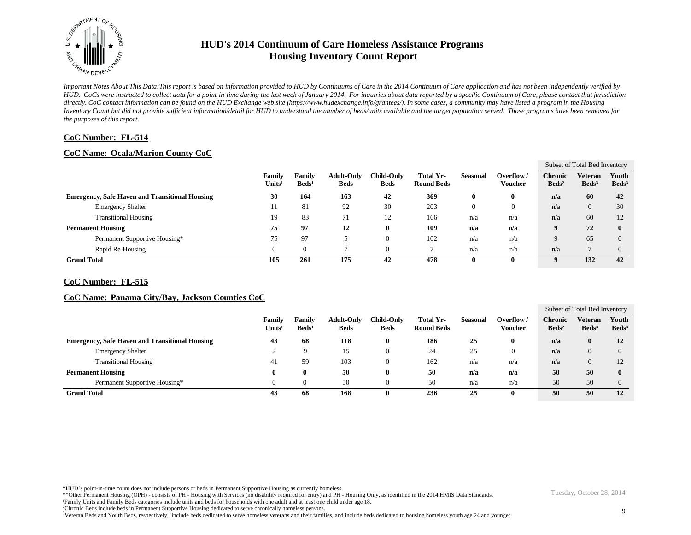

*Important Notes About This Data:This report is based on information provided to HUD by Continuums of Care in the 2014 Continuum of Care application and has not been independently verified by HUD. CoCs were instructed to collect data for a point-in-time during the last week of January 2014. For inquiries about data reported by a specific Continuum of Care, please contact that jurisdiction*  directly. CoC contact information can be found on the HUD Exchange web site (https://www.hudexchange.info/grantees/). In some cases, a community may have listed a program in the Housing *Inventory Count but did not provide sufficient information/detail for HUD to understand the number of beds/units available and the target population served. Those programs have been removed for the purposes of this report.*

### **CoC Number: FL-514**

## **CoC Name: Ocala/Marion County CoC**

|                                                       |                                     |                           |                                  |                           |                                |                 |                             |                                   | Subset of Total Bed Inventory |                          |
|-------------------------------------------------------|-------------------------------------|---------------------------|----------------------------------|---------------------------|--------------------------------|-----------------|-----------------------------|-----------------------------------|-------------------------------|--------------------------|
|                                                       | <b>Family</b><br>Units <sup>1</sup> | Family<br>$\text{Beds}^1$ | <b>Adult-Only</b><br><b>Beds</b> | Child-Onlv<br><b>Beds</b> | Total Yr-<br><b>Round Beds</b> | <b>Seasonal</b> | Overflow/<br><b>Voucher</b> | <b>Chronic</b><br>$\text{Beds}^2$ | Veteran<br>Beds <sup>3</sup>  | Youth<br>$\text{Beds}^3$ |
| <b>Emergency, Safe Haven and Transitional Housing</b> | 30                                  | 164                       | 163                              | 42                        | 369                            | $\mathbf 0$     | 0                           | n/a                               | 60                            | 42                       |
| <b>Emergency Shelter</b>                              |                                     | 81                        | 92                               | 30                        | 203                            |                 | $\theta$                    | n/a                               | 0                             | 30                       |
| <b>Transitional Housing</b>                           | 19                                  | 83                        | 71                               | 12                        | 166                            | n/a             | n/a                         | n/a                               | 60                            | 12                       |
| <b>Permanent Housing</b>                              | 75                                  | 97                        | 12                               | 0                         | 109                            | n/a             | n/a                         | 9                                 | 72                            |                          |
| Permanent Supportive Housing*                         | 75                                  | 97                        |                                  | 0                         | 102                            | n/a             | n/a                         | 9                                 | 65                            |                          |
| Rapid Re-Housing                                      |                                     |                           |                                  | 0                         |                                | n/a             | n/a                         | n/a                               |                               |                          |
| <b>Grand Total</b>                                    | 105                                 | 261                       | 175                              | 42                        | 478                            | $\mathbf 0$     | 0                           | $\mathbf{o}$                      | 132                           | 42                       |

#### **CoC Number: FL-515**

## **CoC Name: Panama City/Bay, Jackson Counties CoC**

|                                                       |                              |                           |                                  |                           |                                |                 |                             |                                     | Subset of Total Bed Inventory     |                          |
|-------------------------------------------------------|------------------------------|---------------------------|----------------------------------|---------------------------|--------------------------------|-----------------|-----------------------------|-------------------------------------|-----------------------------------|--------------------------|
|                                                       | Family<br>Units <sup>1</sup> | Family<br>$\text{Beds}^1$ | <b>Adult-Only</b><br><b>Beds</b> | Child-Onlv<br><b>Beds</b> | Total Yr-<br><b>Round Beds</b> | <b>Seasonal</b> | Overflow/<br><b>Voucher</b> | <b>Chronic</b><br>Beds <sup>2</sup> | <b>Veteran</b><br>$\text{Beds}^3$ | Youth<br>$\text{Beds}^3$ |
| <b>Emergency, Safe Haven and Transitional Housing</b> | 43                           | 68                        | 118                              | $\bf{0}$                  | 186                            | 25              |                             | n/a                                 | v                                 | 12                       |
| <b>Emergency Shelter</b>                              |                              | Q                         | 15                               | U                         | 24                             | 25              |                             | n/a                                 | O.                                | 0                        |
| <b>Transitional Housing</b>                           | -41                          | 59                        | 103                              | - U                       | 162                            | n/a             | n/a                         | n/a                                 |                                   | ⊥∠                       |
| <b>Permanent Housing</b>                              | 0                            | 0                         | 50                               | 0                         | 50                             | n/a             | n/a                         | 50                                  | 50                                |                          |
| Permanent Supportive Housing*                         | $\Omega$                     |                           | 50                               |                           | 50                             | n/a             | n/a                         | 50                                  | 50                                |                          |
| <b>Grand Total</b>                                    | 43                           | 68                        | 168                              | 0                         | 236                            | 25              |                             | 50                                  | 50                                | 12                       |

\*HUD's point-in-time count does not include persons or beds in Permanent Supportive Housing as currently homeless.

\*\*Other Permanent Housing (OPH) - consists of PH - Housing with Services (no disability required for entry) and PH - Housing Only, as identified in the 2014 HMIS Data Standards.

¹Family Units and Family Beds categories include units and beds for households with one adult and at least one child under age 18.

<sup>2</sup>Chronic Beds include beds in Permanent Supportive Housing dedicated to serve chronically homeless persons.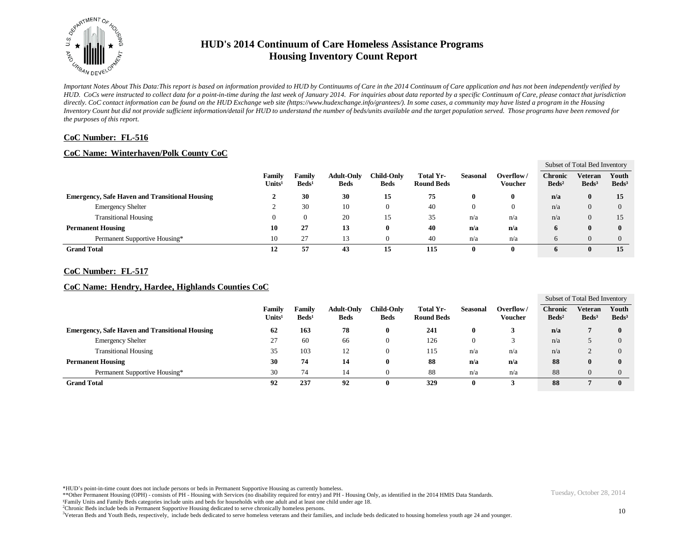

*Important Notes About This Data:This report is based on information provided to HUD by Continuums of Care in the 2014 Continuum of Care application and has not been independently verified by HUD. CoCs were instructed to collect data for a point-in-time during the last week of January 2014. For inquiries about data reported by a specific Continuum of Care, please contact that jurisdiction*  directly. CoC contact information can be found on the HUD Exchange web site (https://www.hudexchange.info/grantees/). In some cases, a community may have listed a program in the Housing *Inventory Count but did not provide sufficient information/detail for HUD to understand the number of beds/units available and the target population served. Those programs have been removed for the purposes of this report.*

### **CoC Number: FL-516**

## **CoC Name: Winterhaven/Polk County CoC**

|                    |                                                       |                             |                           |                                  |                           |                                |                 |                             |                                   | Subset of Total Bed Inventory |                          |
|--------------------|-------------------------------------------------------|-----------------------------|---------------------------|----------------------------------|---------------------------|--------------------------------|-----------------|-----------------------------|-----------------------------------|-------------------------------|--------------------------|
|                    |                                                       | Family<br>$\bf U$ nits $^1$ | Family<br>$\text{Beds}^1$ | <b>Adult-Only</b><br><b>Beds</b> | Child-Onlv<br><b>Beds</b> | Total Yr-<br><b>Round Beds</b> | <b>Seasonal</b> | Overflow/<br><b>Voucher</b> | <b>Chronic</b><br>$\text{Beds}^2$ | Veteran<br>Beds <sup>3</sup>  | Youth<br>$\text{Beds}^3$ |
|                    | <b>Emergency, Safe Haven and Transitional Housing</b> | ∸                           | 30                        | 30                               | 15                        | 75                             |                 | 0                           | n/a                               | $\mathbf{0}$                  | 15                       |
|                    | <b>Emergency Shelter</b>                              |                             | 30                        | 10                               | $\theta$                  | 40                             |                 |                             | n/a                               | 0                             |                          |
|                    | <b>Transitional Housing</b>                           |                             |                           | 20                               | 15                        | 35                             | n/a             | n/a                         | n/a                               | 0                             |                          |
|                    | <b>Permanent Housing</b>                              | 10                          | 27                        | 13                               | 0                         | 40                             | n/a             | n/a                         | 6                                 | $\mathbf{0}$                  |                          |
|                    | Permanent Supportive Housing*                         | 10                          | 27                        | 13                               | 0                         | 40                             | n/a             | n/a                         | h                                 |                               |                          |
| <b>Grand Total</b> |                                                       | 12                          | 57                        | 43                               | 15                        | 115                            |                 |                             | 6                                 |                               | 15                       |

#### **CoC Number: FL-517**

## **CoC Name: Hendry, Hardee, Highlands Counties CoC**

|                    |                                                       |                              |                                  |                                  |                                  |                                       |                 |                             |                                   | Subset of Total Bed Inventory     |                          |
|--------------------|-------------------------------------------------------|------------------------------|----------------------------------|----------------------------------|----------------------------------|---------------------------------------|-----------------|-----------------------------|-----------------------------------|-----------------------------------|--------------------------|
|                    |                                                       | Family<br>Units <sup>1</sup> | <b>Family</b><br>$\text{Beds}^1$ | <b>Adult-Only</b><br><b>Beds</b> | <b>Child-Only</b><br><b>Beds</b> | <b>Total Yr-</b><br><b>Round Beds</b> | <b>Seasonal</b> | Overflow/<br><b>Voucher</b> | <b>Chronic</b><br>$\text{Beds}^2$ | <b>Veteran</b><br>$\text{Beds}^3$ | Youth<br>$\text{Beds}^3$ |
|                    | <b>Emergency, Safe Haven and Transitional Housing</b> | 62                           | 163                              | 78                               | 0                                | 241                                   | 0               |                             | n/a                               |                                   |                          |
|                    | <b>Emergency Shelter</b>                              | 27                           | 60                               | 66                               | O                                | 126                                   |                 |                             | n/a                               |                                   |                          |
|                    | <b>Transitional Housing</b>                           | 35                           | 103                              | 12                               | O                                | 115                                   | n/a             | n/a                         | n/a                               |                                   |                          |
|                    | <b>Permanent Housing</b>                              | 30                           | 74                               | 14                               | O                                | 88                                    | n/a             | n/a                         | 88                                |                                   |                          |
|                    | Permanent Supportive Housing*                         | 30                           | 74                               | 14                               | U                                | 88                                    | n/a             | n/a                         | 88                                | $^{(1)}$                          |                          |
| <b>Grand Total</b> |                                                       | 92                           | 237                              | 92                               | u                                | 329                                   | 0               |                             | 88                                |                                   |                          |

\*HUD's point-in-time count does not include persons or beds in Permanent Supportive Housing as currently homeless.

\*\*Other Permanent Housing (OPH) - consists of PH - Housing with Services (no disability required for entry) and PH - Housing Only, as identified in the 2014 HMIS Data Standards.

¹Family Units and Family Beds categories include units and beds for households with one adult and at least one child under age 18.

<sup>2</sup>Chronic Beds include beds in Permanent Supportive Housing dedicated to serve chronically homeless persons.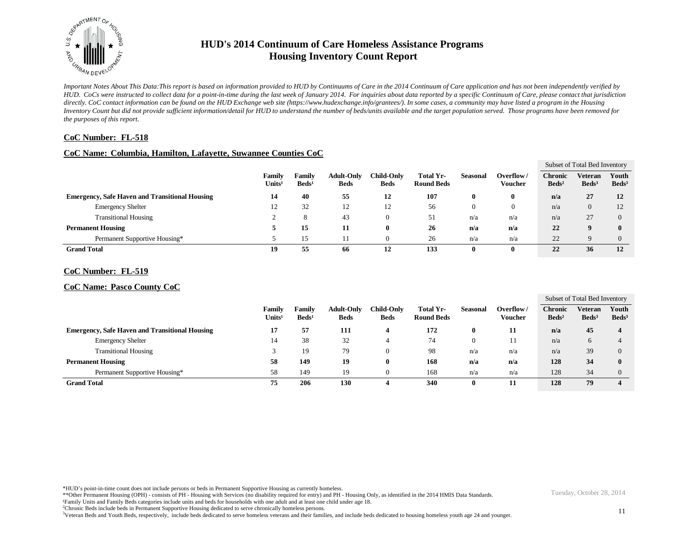

*Important Notes About This Data:This report is based on information provided to HUD by Continuums of Care in the 2014 Continuum of Care application and has not been independently verified by HUD. CoCs were instructed to collect data for a point-in-time during the last week of January 2014. For inquiries about data reported by a specific Continuum of Care, please contact that jurisdiction*  directly. CoC contact information can be found on the HUD Exchange web site (https://www.hudexchange.info/grantees/). In some cases, a community may have listed a program in the Housing *Inventory Count but did not provide sufficient information/detail for HUD to understand the number of beds/units available and the target population served. Those programs have been removed for the purposes of this report.*

### **CoC Number: FL-518**

#### **CoC Name: Columbia, Hamilton, Lafayette, Suwannee Counties CoC**

|                                                       |                         |                           |                                  |                           |                                |                 |                             |                                   | Subset of Total Bed Inventory |                            |
|-------------------------------------------------------|-------------------------|---------------------------|----------------------------------|---------------------------|--------------------------------|-----------------|-----------------------------|-----------------------------------|-------------------------------|----------------------------|
|                                                       | Family<br>$\bf Units^1$ | Family<br>$\text{Beds}^1$ | <b>Adult-Only</b><br><b>Beds</b> | Child-Only<br><b>Beds</b> | Total Yr-<br><b>Round Beds</b> | <b>Seasonal</b> | Overflow/<br><b>Voucher</b> | <b>Chronic</b><br>$\text{Beds}^2$ | Veteran<br>Beds <sup>3</sup>  | Youth<br>Beds <sup>3</sup> |
| <b>Emergency, Safe Haven and Transitional Housing</b> | 14                      | 40                        | 55                               | 12                        | 107                            | 0               | 0                           | n/a                               | 27                            | 12                         |
| <b>Emergency Shelter</b>                              | - 12                    | 32                        | 12                               | 12                        | 56                             |                 |                             | n/a                               | $\Omega$                      | 12                         |
| <b>Transitional Housing</b>                           |                         | 8                         | 43                               | $\theta$                  | 51                             | n/a             | n/a                         | n/a                               | 27                            |                            |
| <b>Permanent Housing</b>                              |                         | 15                        | 11                               | $\bf{0}$                  | 26                             | n/a             | n/a                         | 22                                | u                             |                            |
| Permanent Supportive Housing*                         |                         | 15                        |                                  | 0                         | 26                             | n/a             | n/a                         | 22                                | Q                             |                            |
| <b>Grand Total</b>                                    | 19                      | 55                        | 66                               | 12                        | 133                            |                 | 0                           | 22                                | 36                            | 12                         |

#### **CoC Number: FL-519**

### **CoC Name: Pasco County CoC**

|                                                       |                              |                                  |                                  |                                  |                                |          |                             |                                   | Subset of Total Bed Inventory     |                          |
|-------------------------------------------------------|------------------------------|----------------------------------|----------------------------------|----------------------------------|--------------------------------|----------|-----------------------------|-----------------------------------|-----------------------------------|--------------------------|
|                                                       | Family<br>Units <sup>1</sup> | <b>Family</b><br>$\text{Beds}^1$ | <b>Adult-Only</b><br><b>Beds</b> | <b>Child-Only</b><br><b>Beds</b> | Total Yr-<br><b>Round Beds</b> | Seasonal | Overflow/<br><b>Voucher</b> | <b>Chronic</b><br>$\text{Beds}^2$ | <b>Veteran</b><br>$\text{Beds}^3$ | Youth<br>$\text{Beds}^3$ |
| <b>Emergency, Safe Haven and Transitional Housing</b> | 17                           | 57                               | 111                              | 4                                | 172                            | 0        | 11                          | n/a                               | 45                                |                          |
| <b>Emergency Shelter</b>                              | 14                           | 38                               | 32                               | 4                                | 74                             | $\bf{0}$ | 11                          | n/a                               | o                                 |                          |
| <b>Transitional Housing</b>                           |                              | 19                               | 79                               | $\upsilon$                       | 98                             | n/a      | n/a                         | n/a                               | 39                                |                          |
| <b>Permanent Housing</b>                              | 58                           | 149                              | 19                               | U                                | 168                            | n/a      | n/a                         | 128                               | 34                                |                          |
| Permanent Supportive Housing*                         | 58                           | 149                              | 19                               | 0                                | 168                            | n/a      | n/a                         | 128                               | 34                                |                          |
| <b>Grand Total</b>                                    | 75                           | 206                              | 130                              |                                  | 340                            | $\bf{0}$ |                             | 128                               | 79                                |                          |

\*HUD's point-in-time count does not include persons or beds in Permanent Supportive Housing as currently homeless.

\*\*Other Permanent Housing (OPH) - consists of PH - Housing with Services (no disability required for entry) and PH - Housing Only, as identified in the 2014 HMIS Data Standards.

¹Family Units and Family Beds categories include units and beds for households with one adult and at least one child under age 18.

<sup>2</sup>Chronic Beds include beds in Permanent Supportive Housing dedicated to serve chronically homeless persons.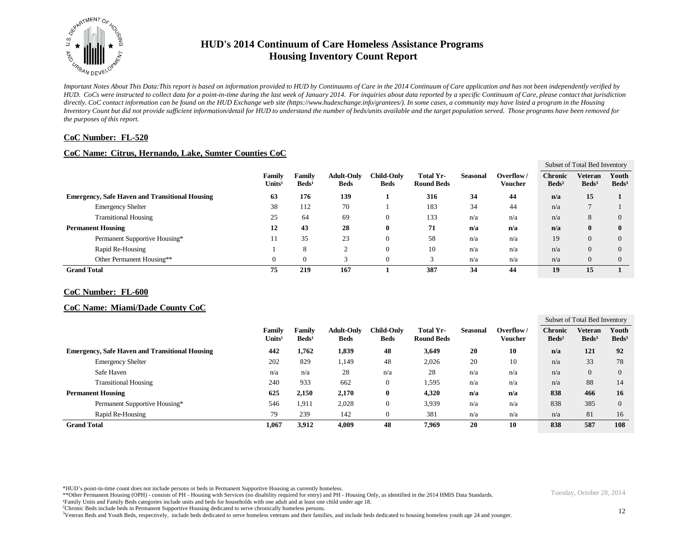

*Important Notes About This Data:This report is based on information provided to HUD by Continuums of Care in the 2014 Continuum of Care application and has not been independently verified by HUD. CoCs were instructed to collect data for a point-in-time during the last week of January 2014. For inquiries about data reported by a specific Continuum of Care, please contact that jurisdiction*  directly. CoC contact information can be found on the HUD Exchange web site (https://www.hudexchange.info/grantees/). In some cases, a community may have listed a program in the Housing *Inventory Count but did not provide sufficient information/detail for HUD to understand the number of beds/units available and the target population served. Those programs have been removed for the purposes of this report.*

### **CoC Number: FL-520**

### **CoC Name: Citrus, Hernando, Lake, Sumter Counties CoC**

|                                                       |                              |                           |                                  |                                  |                                       |                 |                             |                                     | Subset of Total Bed Inventory |                          |
|-------------------------------------------------------|------------------------------|---------------------------|----------------------------------|----------------------------------|---------------------------------------|-----------------|-----------------------------|-------------------------------------|-------------------------------|--------------------------|
|                                                       | Family<br>Units <sup>1</sup> | Family<br>$\text{Beds}^1$ | <b>Adult-Only</b><br><b>Beds</b> | <b>Child-Only</b><br><b>Beds</b> | <b>Total Yr-</b><br><b>Round Beds</b> | <b>Seasonal</b> | Overflow/<br><b>Voucher</b> | <b>Chronic</b><br>Beds <sup>2</sup> | Veteran<br>Beds <sup>3</sup>  | Youth<br>$\text{Beds}^3$ |
| <b>Emergency, Safe Haven and Transitional Housing</b> | 63                           | 176                       | 139                              |                                  | 316                                   | 34              | 44                          | n/a                                 | 15                            |                          |
| <b>Emergency Shelter</b>                              | 38                           | 112                       | 70                               |                                  | 183                                   | 34              | 44                          | n/a                                 |                               |                          |
| <b>Transitional Housing</b>                           | 25                           | 64                        | 69                               | 0                                | 133                                   | n/a             | n/a                         | n/a                                 | 8                             |                          |
| <b>Permanent Housing</b>                              | 12                           | 43                        | 28                               | 0                                | 71                                    | n/a             | n/a                         | n/a                                 | $\mathbf{0}$                  |                          |
| Permanent Supportive Housing*                         | 11                           | 35                        | 23                               | 0                                | 58                                    | n/a             | n/a                         | 19                                  | $\overline{0}$                |                          |
| Rapid Re-Housing                                      |                              | 8                         |                                  | 0                                | 10                                    | n/a             | n/a                         | n/a                                 | $\overline{0}$                |                          |
| Other Permanent Housing**                             |                              |                           |                                  | 0                                |                                       | n/a             | n/a                         | n/a                                 | $\overline{0}$                |                          |
| <b>Grand Total</b>                                    | 75                           | 219                       | 167                              |                                  | 387                                   | 34              | 44                          | 19                                  | 15                            |                          |

#### **CoC Number: FL-600**

#### **CoC Name: Miami/Dade County CoC**

|                                                       |                              |                                  |                                  |                           |                                       |                 |                      |                                   | Subset of Total Bed Inventory       |                            |
|-------------------------------------------------------|------------------------------|----------------------------------|----------------------------------|---------------------------|---------------------------------------|-----------------|----------------------|-----------------------------------|-------------------------------------|----------------------------|
|                                                       | Family<br>Units <sup>1</sup> | <b>Family</b><br>$\text{Beds}^1$ | <b>Adult-Only</b><br><b>Beds</b> | <b>Child-Only</b><br>Beds | <b>Total Yr-</b><br><b>Round Beds</b> | <b>Seasonal</b> | Overflow/<br>Voucher | <b>Chronic</b><br>$\text{Beds}^2$ | <b>Veteran</b><br>Beds <sup>3</sup> | Youth<br>Beds <sup>3</sup> |
| <b>Emergency, Safe Haven and Transitional Housing</b> | 442                          | 1,762                            | 1,839                            | 48                        | 3,649                                 | 20              | 10                   | n/a                               | 121                                 | 92                         |
| <b>Emergency Shelter</b>                              | 202                          | 829                              | .149                             | 48                        | 2,026                                 | 20              | 10                   | n/a                               | 33                                  | 78                         |
| Safe Haven                                            | n/a                          | n/a                              | 28                               | n/a                       | 28                                    | n/a             | n/a                  | n/a                               | $\Omega$                            | 0                          |
| <b>Transitional Housing</b>                           | 240                          | 933                              | 662                              | 0                         | 1,595                                 | n/a             | n/a                  | n/a                               | 88                                  | 14                         |
| <b>Permanent Housing</b>                              | 625                          | 2,150                            | 2,170                            | 0                         | 4,320                                 | n/a             | n/a                  | 838                               | 466                                 | 16                         |
| Permanent Supportive Housing*                         | 546                          | 1,911                            | 2,028                            | $\mathbf{0}$              | 3,939                                 | n/a             | n/a                  | 838                               | 385                                 | $\Omega$                   |
| Rapid Re-Housing                                      | 79                           | 239                              | 142                              | $\boldsymbol{0}$          | 381                                   | n/a             | n/a                  | n/a                               | 81                                  | 16                         |
| <b>Grand Total</b>                                    | 1,067                        | 3,912                            | 4,009                            | 48                        | 7.969                                 | 20              | 10                   | 838                               | 587                                 | 108                        |

\*HUD's point-in-time count does not include persons or beds in Permanent Supportive Housing as currently homeless.

\*\*Other Permanent Housing (OPH) - consists of PH - Housing with Services (no disability required for entry) and PH - Housing Only, as identified in the 2014 HMIS Data Standards.

¹Family Units and Family Beds categories include units and beds for households with one adult and at least one child under age 18.

<sup>2</sup>Chronic Beds include beds in Permanent Supportive Housing dedicated to serve chronically homeless persons.

<sup>3</sup>Veteran Beds and Youth Beds, respectively, include beds dedicated to serve homeless veterans and their families, and include beds dedicated to housing homeless youth age 24 and younger.

12

Tuesday, October 28, 2014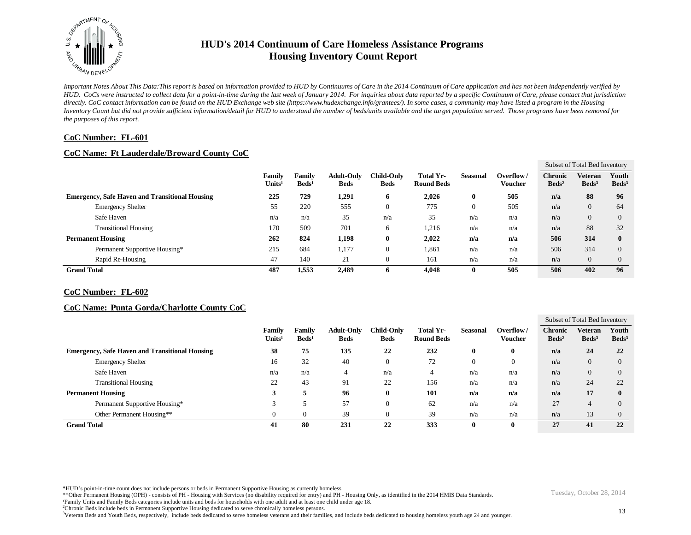

*Important Notes About This Data:This report is based on information provided to HUD by Continuums of Care in the 2014 Continuum of Care application and has not been independently verified by HUD. CoCs were instructed to collect data for a point-in-time during the last week of January 2014. For inquiries about data reported by a specific Continuum of Care, please contact that jurisdiction*  directly. CoC contact information can be found on the HUD Exchange web site (https://www.hudexchange.info/grantees/). In some cases, a community may have listed a program in the Housing *Inventory Count but did not provide sufficient information/detail for HUD to understand the number of beds/units available and the target population served. Those programs have been removed for the purposes of this report.*

### **CoC Number: FL-601**

### **CoC Name: Ft Lauderdale/Broward County CoC**

|                                                       |                                     |                           |                                  |                           |                                |                 |                             |                                   | Subset of Total Bed Inventory |                          |
|-------------------------------------------------------|-------------------------------------|---------------------------|----------------------------------|---------------------------|--------------------------------|-----------------|-----------------------------|-----------------------------------|-------------------------------|--------------------------|
|                                                       | <b>Family</b><br>$\mathbf{Units^1}$ | Family<br>$\text{Beds}^1$ | <b>Adult-Only</b><br><b>Beds</b> | Child-Only<br><b>Beds</b> | Total Yr-<br><b>Round Beds</b> | <b>Seasonal</b> | Overflow/<br><b>Voucher</b> | <b>Chronic</b><br>$\text{Beds}^2$ | Veteran<br>Beds <sup>3</sup>  | Youth<br>$\text{Beds}^3$ |
| <b>Emergency, Safe Haven and Transitional Housing</b> | 225                                 | 729                       | 1,291                            | 6                         | 2,026                          | $\mathbf 0$     | 505                         | n/a                               | 88                            | 96                       |
| <b>Emergency Shelter</b>                              | 55                                  | 220                       | 555                              | 0                         | 775                            |                 | 505                         | n/a                               | $\overline{0}$                | 64                       |
| Safe Haven                                            | n/a                                 | n/a                       | 35                               | n/a                       | 35                             | n/a             | n/a                         | n/a                               | $\overline{0}$                |                          |
| <b>Transitional Housing</b>                           | 170                                 | 509                       | 701                              | 6                         | 1,216                          | n/a             | n/a                         | n/a                               | 88                            | 32                       |
| <b>Permanent Housing</b>                              | 262                                 | 824                       | 1,198                            | 0                         | 2,022                          | n/a             | n/a                         | 506                               | 314                           |                          |
| Permanent Supportive Housing*                         | 215                                 | 684                       | 1,177                            | 0                         | 1,861                          | n/a             | n/a                         | 506                               | 314                           |                          |
| Rapid Re-Housing                                      | 47                                  | 140                       | 21                               | 0                         | 161                            | n/a             | n/a                         | n/a                               | $\mathbf{0}$                  |                          |
| <b>Grand Total</b>                                    | 487                                 | 1,553                     | 2.489                            | 0                         | 4.048                          |                 | 505                         | 506                               | 402                           | 96                       |

#### **CoC Number: FL-602**

#### **CoC Name: Punta Gorda/Charlotte County CoC**

|                                                       |                              |                                  |                                  |                                  |                                       |          |                      | Subset of Total Bed Inventory     |                                     |                            |
|-------------------------------------------------------|------------------------------|----------------------------------|----------------------------------|----------------------------------|---------------------------------------|----------|----------------------|-----------------------------------|-------------------------------------|----------------------------|
|                                                       | Family<br>Units <sup>1</sup> | <b>Family</b><br>$\text{Beds}^1$ | <b>Adult-Only</b><br><b>Beds</b> | <b>Child-Only</b><br><b>Beds</b> | <b>Total Yr-</b><br><b>Round Beds</b> | Seasonal | Overflow/<br>Voucher | <b>Chronic</b><br>$\text{Beds}^2$ | <b>Veteran</b><br>Beds <sup>3</sup> | Youth<br>Beds <sup>3</sup> |
| <b>Emergency, Safe Haven and Transitional Housing</b> | 38                           | 75                               | 135                              | 22                               | 232                                   | 0        | $\mathbf{0}$         | n/a                               | 24                                  | 22                         |
| <b>Emergency Shelter</b>                              | 16                           | 32                               | 40                               | $\boldsymbol{0}$                 | 72                                    | $\Omega$ | 0                    | n/a                               | $\theta$                            | $\theta$                   |
| Safe Haven                                            | n/a                          | n/a                              | 4                                | n/a                              | 4                                     | n/a      | n/a                  | n/a                               | $\Omega$                            |                            |
| <b>Transitional Housing</b>                           | 22                           | 43                               | 91                               | 22                               | 156                                   | n/a      | n/a                  | n/a                               | 24                                  | 22                         |
| <b>Permanent Housing</b>                              |                              |                                  | 96                               | 0                                | 101                                   | n/a      | n/a                  | n/a                               | 17                                  | 0                          |
| Permanent Supportive Housing*                         |                              |                                  | 57                               | $\overline{0}$                   | 62                                    | n/a      | n/a                  | 27                                |                                     |                            |
| Other Permanent Housing**                             | $\theta$                     |                                  | 39                               | $\theta$                         | 39                                    | n/a      | n/a                  | n/a                               | 13                                  | $\theta$                   |
| <b>Grand Total</b>                                    | 41                           | 80                               | 231                              | 22                               | 333                                   | 0        | $\mathbf{0}$         | 27                                | 41                                  | 22                         |

\*HUD's point-in-time count does not include persons or beds in Permanent Supportive Housing as currently homeless.

- \*\*Other Permanent Housing (OPH) consists of PH Housing with Services (no disability required for entry) and PH Housing Only, as identified in the 2014 HMIS Data Standards.
- ¹Family Units and Family Beds categories include units and beds for households with one adult and at least one child under age 18.
- <sup>2</sup>Chronic Beds include beds in Permanent Supportive Housing dedicated to serve chronically homeless persons.

<sup>3</sup>Veteran Beds and Youth Beds, respectively, include beds dedicated to serve homeless veterans and their families, and include beds dedicated to housing homeless youth age 24 and younger.

13

Tuesday, October 28, 2014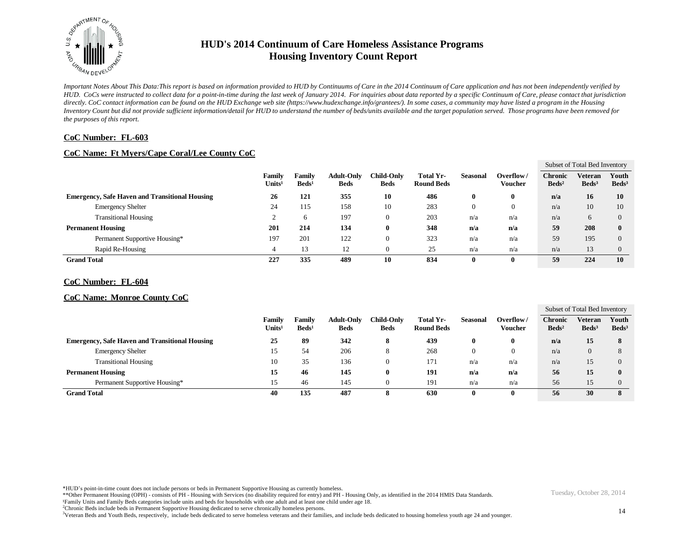

*Important Notes About This Data:This report is based on information provided to HUD by Continuums of Care in the 2014 Continuum of Care application and has not been independently verified by HUD. CoCs were instructed to collect data for a point-in-time during the last week of January 2014. For inquiries about data reported by a specific Continuum of Care, please contact that jurisdiction*  directly. CoC contact information can be found on the HUD Exchange web site (https://www.hudexchange.info/grantees/). In some cases, a community may have listed a program in the Housing *Inventory Count but did not provide sufficient information/detail for HUD to understand the number of beds/units available and the target population served. Those programs have been removed for the purposes of this report.*

### **CoC Number: FL-603**

## **CoC Name: Ft Myers/Cape Coral/Lee County CoC**

|                                                       |                              |                                  |                                  |                                  |                                |                 |                             | Subset of Total Bed Inventory       |                              |                          |  |
|-------------------------------------------------------|------------------------------|----------------------------------|----------------------------------|----------------------------------|--------------------------------|-----------------|-----------------------------|-------------------------------------|------------------------------|--------------------------|--|
|                                                       | Family<br>Units <sup>1</sup> | <b>Family</b><br>$\text{Beds}^1$ | <b>Adult-Only</b><br><b>Beds</b> | <b>Child-Only</b><br><b>Beds</b> | Total Yr-<br><b>Round Beds</b> | <b>Seasonal</b> | Overflow/<br><b>Voucher</b> | <b>Chronic</b><br>Beds <sup>2</sup> | Veteran<br>Beds <sup>3</sup> | Youth<br>$\text{Beds}^3$ |  |
| <b>Emergency, Safe Haven and Transitional Housing</b> | 26                           | 121                              | 355                              | 10                               | 486                            | 0               |                             | n/a                                 | 16                           | 10                       |  |
| <b>Emergency Shelter</b>                              | 24                           | 115                              | 158                              | 10                               | 283                            | 0               | $\mathbf{0}$                | n/a                                 | 10                           | 10                       |  |
| <b>Transitional Housing</b>                           |                              | 6                                | 197                              |                                  | 203                            | n/a             | n/a                         | n/a                                 | 6                            | $\Omega$                 |  |
| <b>Permanent Housing</b>                              | 201                          | 214                              | 134                              | Ð                                | 348                            | n/a             | n/a                         | 59                                  | 208                          | $\mathbf{0}$             |  |
| Permanent Supportive Housing*                         | 197                          | 201                              | 122                              |                                  | 323                            | n/a             | n/a                         | 59                                  | 195                          | $\Omega$                 |  |
| Rapid Re-Housing                                      |                              | 13                               | 12                               |                                  | 25                             | n/a             | n/a                         | n/a                                 | 13                           | $\Omega$                 |  |
| <b>Grand Total</b>                                    | 227                          | 335                              | 489                              | 10                               | 834                            | 0               |                             | 59                                  | 224                          | 10                       |  |

#### **CoC Number: FL-604**

#### **CoC Name: Monroe County CoC**

|                                                       |                              |                                  |                           |                           |                                |                 |                      | Subset of Total Bed Inventory       |                              |                          |
|-------------------------------------------------------|------------------------------|----------------------------------|---------------------------|---------------------------|--------------------------------|-----------------|----------------------|-------------------------------------|------------------------------|--------------------------|
|                                                       | Family<br>Units <sup>1</sup> | <b>Family</b><br>$\text{Beds}^1$ | Adult-Only<br><b>Beds</b> | Child-Only<br><b>Beds</b> | Total Yr-<br><b>Round Beds</b> | <b>Seasonal</b> | Overflow/<br>Voucher | <b>Chronic</b><br>Beds <sup>2</sup> | Veteran<br>Beds <sup>3</sup> | Youth<br>$\text{Beds}^3$ |
| <b>Emergency, Safe Haven and Transitional Housing</b> | 25                           | 89                               | 342                       | 8                         | 439                            | 0               | 0                    | n/a                                 | 15                           | 8                        |
| <b>Emergency Shelter</b>                              |                              | 54                               | 206                       | 8                         | 268                            | $\left($        |                      | n/a                                 |                              |                          |
| <b>Transitional Housing</b>                           | 10                           | 35                               | 136                       | $\theta$                  | 171                            | n/a             | n/a                  | n/a                                 |                              | $\Omega$                 |
| <b>Permanent Housing</b>                              | 15                           | 46                               | 145                       | $\boldsymbol{0}$          | 191                            | n/a             | n/a                  | 56                                  | 15                           | $\mathbf{0}$             |
| Permanent Supportive Housing*                         | 15                           | 46                               | 145                       | $\sqrt{ }$                | 191                            | n/a             | n/a                  | 56                                  | 15                           | $\Omega$                 |
| <b>Grand Total</b>                                    | 40                           | 135                              | 487                       | 8                         | 630                            | $\mathbf{0}$    | 0                    | 56                                  | 30                           | 8                        |

\*HUD's point-in-time count does not include persons or beds in Permanent Supportive Housing as currently homeless.

\*\*Other Permanent Housing (OPH) - consists of PH - Housing with Services (no disability required for entry) and PH - Housing Only, as identified in the 2014 HMIS Data Standards.

¹Family Units and Family Beds categories include units and beds for households with one adult and at least one child under age 18.

<sup>2</sup>Chronic Beds include beds in Permanent Supportive Housing dedicated to serve chronically homeless persons.

<sup>3</sup>Veteran Beds and Youth Beds, respectively, include beds dedicated to serve homeless veterans and their families, and include beds dedicated to housing homeless youth age 24 and younger.

Tuesday, October 28, 2014